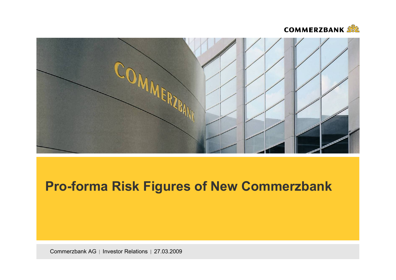



# **Pro-forma Risk Figures of New Commerzbank**

Commerzbank AG | Investor Relations | 27.03.2009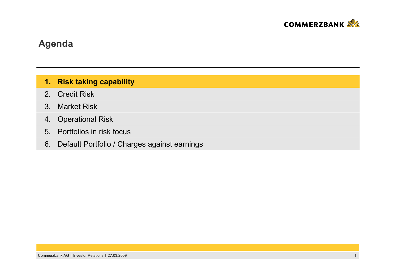

#### **1. Risk taking capability**

- 2.Credit Risk
- 3. Market Risk
- 4. Operational Risk
- 5. Portfolios in risk focus
- 6. Default Portfolio / Charges against earnings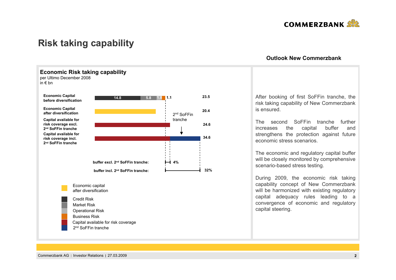

## **Risk taking capability**



#### **Outlook New Commerzbank**

After booking of first SoFFin tranche, the risk taking capability of New Commerzbank is ensured.

The second SoFFin tranche further increases the capital buffer and strengthens the protection against future economic stress scenarios.

The economic and regulatory capital buffer will be closely monitored by comprehensive scenario-based stress testing.

During 2009, the economic risk taking capability concept of New Commerzbank will be harmonized with existing regulatory capital adequacy rules leading to a convergence of economic and regulatory capital steering.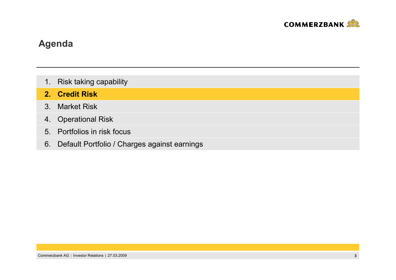

- 1. Risk taking capability
- **2.Credit Risk**
- 3. Market Risk
- 4. Operational Risk
- 5. Portfolios in risk focus
- 6. Default Portfolio / Charges against earnings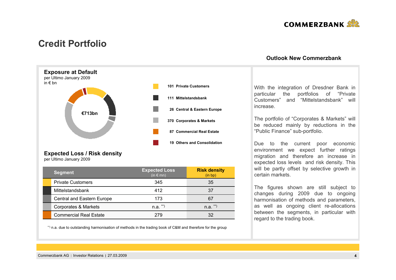

### **Credit Portfolio**



### **Expected Loss / Risk density**

per Ultimo January 2009

| <b>Segment</b>                | <b>Expected Loss</b><br>$(in \in m)$ | <b>Risk density</b><br>(in bp) |
|-------------------------------|--------------------------------------|--------------------------------|
| <b>Private Customers</b>      | 345                                  | 35                             |
| Mittelstandsbank              | 412                                  | 37                             |
| Central and Eastern Europe    | 173                                  | 67                             |
| Corporates & Markets          | $n.a.$ **)                           | $n.a.$ **)                     |
| <b>Commercial Real Estate</b> | 279                                  | 32                             |

\*\*) n.a. due to outstanding harmonisation of methods in the trading book of C&M and therefore for the group

#### **Outlook New Commerzbank**

With the integration of Dresdner Bank in particular the portfolios of "Private Customers" and "Mittelstandsbank" will increase.

The portfolio of "Corporates & Markets" will be reduced mainly by reductions in the "Public Finance" sub-portfolio.

Due to the current poor economic environment we expect further ratings migration and therefore an increase in expected loss levels and risk density. This will be partly offset by selective growth in certain markets.

The figures shown are still subject to changes during 2009 due to ongoing harmonisation of methods and parameters, as well as ongoing client re-allocations between the segments, in particular with regard to the trading book.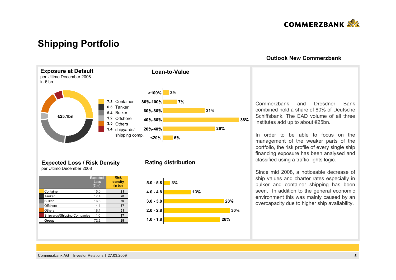

### **Shipping Portfolio**



#### **Outlook New Commerzbank**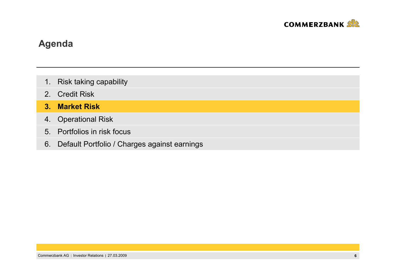

- 1. Risk taking capability
- 2.Credit Risk
- **3. Market Risk**
- 4. Operational Risk
- 5. Portfolios in risk focus
- 6. Default Portfolio / Charges against earnings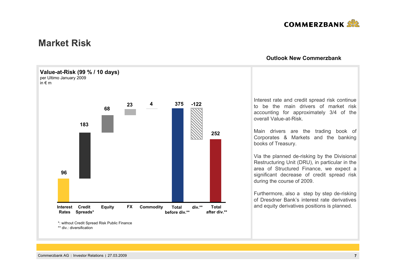

### **Market Risk**



#### **Outlook New Commerzbank**

Interest rate and credit spread risk continue to be the main drivers of market risk accounting for approximately 3/4 of the overall Value-at-Risk.

Main drivers are the trading book of Corporates & Markets and the banking books of Treasury.

Via the planned de-risking by the Divisional Restructuring Unit (DRU), in particular in the area of Structured Finance, we expect a significant decrease of credit spread risk during the course of 2009.

Furthermore, also a step by step de-risking of Dresdner Bank's interest rate derivatives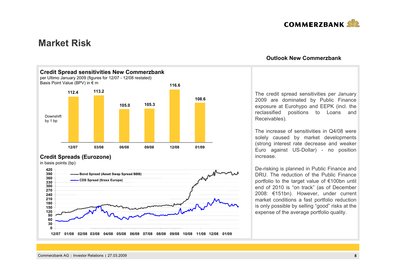

### **Market Risk**



### **Credit Spreads (Eurozone)**

in basis points (bp)



### **Outlook New Commerzbank**

The credit spread sensitivities per January 2009 are dominated by Public Finance exposure at Eurohypo and EEPK (incl. the reclassified positions to Loans and Receivables).

The increase of sensitivities in Q4/08 were solely caused by market developments (strong interest rate decrease and weaker Euro against US-Dollar) - no position increase.

De-risking is planned in Public Finance and DRU. The reduction of the Public Finance portfolio to the target value of €100bn until end of 2010 is "on track" (as of December 2008: €151bn). However, under current market conditions a fast portfolio reduction is only possible by selling "good" risks at the expense of the average portfolio quality.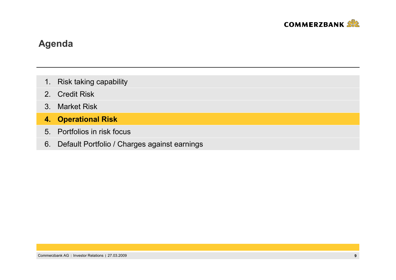

- 1. Risk taking capability
- 2.Credit Risk
- 3. Market Risk
- **4. Operational Risk**
- 5. Portfolios in risk focus
- 6. Default Portfolio / Charges against earnings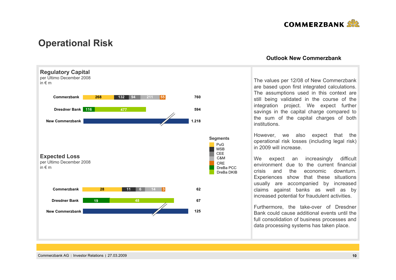

### **Operational Risk**



#### **Outlook New Commerzbank**

The values per 12/08 of New Commerzbank are based upon first integrated calculations. The assumptions used in this context are still being validated in the course of the integration project. We expect further savings in the capital charge compared to the sum of the capital charges of both institutions.

However, we also expect that the operational risk losses (including legal risk) in 2009 will increase.

We expect an increasingly difficult environment due to the current financial crisis and the economic downturn. Experiences show that these situations usually are accompanied by increased claims against banks as well as by increased potential for fraudulent activities.

Furthermore, the take-over of Dresdner Bank could cause additional events until the full consolidation of business processes and data processing systems has taken place.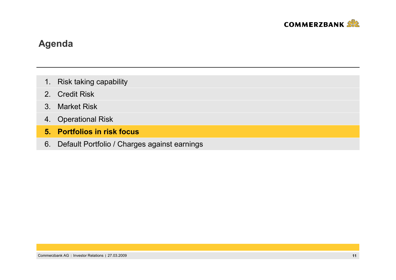

- 1. Risk taking capability
- 2.Credit Risk
- 3. Market Risk
- 4. Operational Risk
- **5. Portfolios in risk focus**
- 6. Default Portfolio / Charges against earnings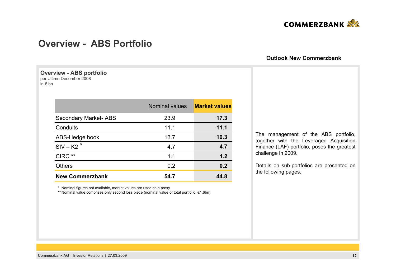

### **Overview - ABS Portfolio**

#### **Overview - ABS portfolio** per Ultimo December 2008

in € bn

|                             | <b>Nominal values</b> |      |
|-----------------------------|-----------------------|------|
| <b>Secondary Market-ABS</b> | 23.9                  | 17.3 |
| Conduits                    | 11.1                  | 11.1 |
| ABS-Hedge book              | 13.7                  | 10.3 |
| $SIV - K2$ <sup>*</sup>     | 4.7                   | 4.7  |
| CIRC **                     | 1.1                   | 1.2  |
| <b>Others</b>               | 0.2                   | 0.2  |
| <b>New Commerzbank</b>      | 54.7                  | 44.8 |

The management of the ABS portfolio, together with the Leveraged Acquisition Finance (LAF) portfolio, poses the greatest challenge in 2009.

**Outlook New Commerzbank**

Details on sub-portfolios are presented on the following pages.

\* Nominal figures not available, market values are used as a proxy

\*\* Nominal value comprises only second loss piece (nominal value of total portfolio: €1.6bn)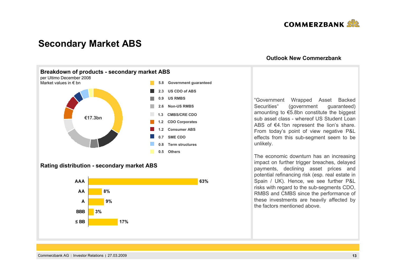

### **Secondary Market ABS**



#### **Rating distribution - secondary market ABS**



#### **Outlook New Commerzbank**

"Government Wrapped Asset Backed Securities (government guaranteed) amounting to €5.8bn constitute the biggest sub asset class - whereof US Student Loan ABS of €4.1bn represent the lion's share. From today's point of view negative P&L effects from this sub-segment seem to be unlikely.

The economic downturn has an increasing impact on further trigger breaches, delayed payments, declining asset prices and potential refinancing risk (esp. real estate in Spain / UK). Hence, we see further P&L risks with regard to the sub-segments CDO, RMBS and CMBS since the performance of these investments are heavily affected by the factors mentioned above.

Commerzbank AG Investor Relations 27.03.2009 **13**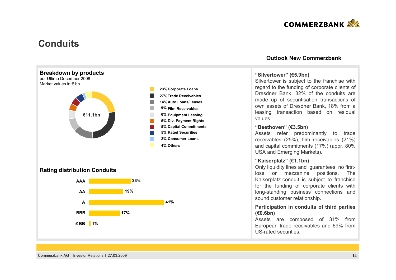

### **Conduits**



#### **Outlook New Commerzbank**

#### **"Silvertower" (€5.9bn)**

Silvertower is subject to the franchise with regard to the funding of corporate clients of Dresdner Bank. 32% of the conduits are made up of securitisation transactions of own assets of Dresdner Bank, 18% from a leasing transaction based on residual values.

#### **"Beethoven" (€3.5bn)**

Assets refer predominantly to trade receivables (25%), film receivables (21%) and capital commitments (17%) (appr. 80% USA and Emerging Markets).

#### **"Kaiserplatz" (€1.1bn)**

Only liquidity lines and guarantees, no firstloss or mezzanine positions. The Kaiserplatz-conduit is subject to franchise for the funding of corporate clients with long-standing business connections and sound customer relationship.

#### **Participation in conduits of third parties (€0.6bn)**

Assets are composed of 31% from European trade receivables and 69% from US-rated securities.

Commerzbank AG Investor Relations 27.03.2009 **14**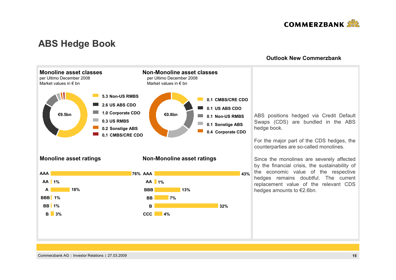

### **ABS Hedge Book**

#### **Outlook New Commerzbank**

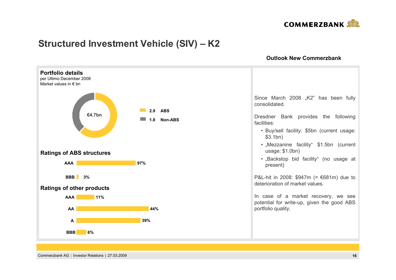

## **Structured Investment Vehicle (SIV) – K2**

**Outlook New Commerzbank**



Commerzbank AG Investor Relations 27.03.2009 **16**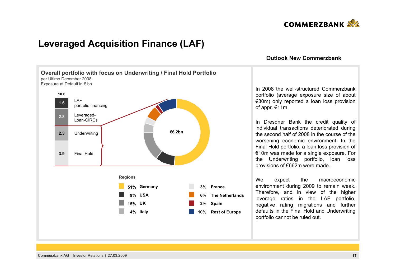

### **Leveraged Acquisition Finance (LAF)**



#### **Outlook New Commerzbank**

In 2008 the well-structured Commerzbankportfolio (average exposure size of about €30m) only reported a loan loss provision of appr. €11m.

In Dresdner Bank the credit quality of individual transactions deteriorated during the second half of 2008 in the course of the worsening economic environment. In the Final Hold portfolio, a loan loss provision of €10m was made for a single exposure. For the Underwriting portfolio, loan loss provisions of €662m were made.

We expect the macroeconomic environment during 2009 to remain weak. Therefore, and in view of the higher leverage ratios in the LAF portfolio, negative rating migrations and further defaults in the Final Hold and Underwriting portfolio cannot be ruled out.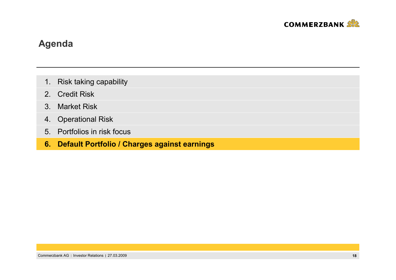

- 1. Risk taking capability
- 2.Credit Risk
- 3. Market Risk
- 4. Operational Risk
- 5. Portfolios in risk focus
- **6. Default Portfolio / Charges against earnings**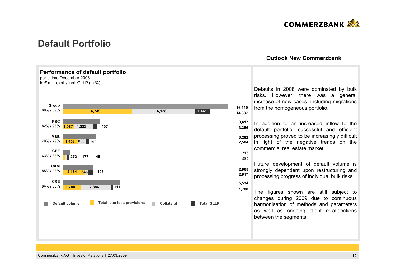

### **Default Portfolio**



#### **Outlook New Commerzbank**

Commerzbank AG Investor Relations 27.03.2009 **19**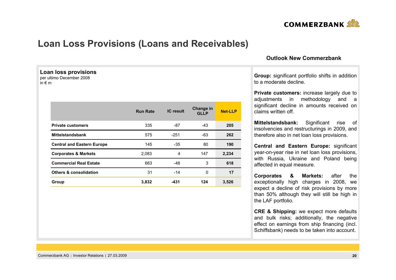

### **Loan Loss Provisions (Loans and Receivables)**

**Run Rate IC result Change in GLLP**

335 -87 -43 **205**

663 -48 3 **618**

**k** -251 -63

**n** 31 -14 0

**Central and Eastern Europe** 145 190 **80** 190 **Corporates & Markets** 2,083 4 147 **2,234**

**Group 3,832 -431 124 3,526**

**Net-LLP**

**262**

**17**

#### **Outlook New Commerzbank**

**Group:** significant portfolio shifts in addition to a moderate decline.

**Private customers:** increase largely due to adjustments in methodology and a significant decline in amounts received on claims written off.

**Mittelstandsbank:** Significant rise of insolvencies and restructurings in 2009, and therefore also in net loan loss provisions.

**Central and Eastern Europe:** significant year-on-year rise in net loan loss provisions, with Russia, Ukraine and Poland being affected in equal measure.

**Corporates & Markets:** after the exceptionally high charges in 2008, we expect a decline of risk provisions by more than 50% although they will still be high in the LAF portfolio.

**CRE & Shipping:** we expect more defaults and bulk risks; additionally, the negative effect on earnings from ship financing (incl. Schiffsbank) needs to be taken into account.

| Commerzbank AG   Investor Relations   27.03.2009 |  |  |
|--------------------------------------------------|--|--|
|--------------------------------------------------|--|--|

**Loan loss provisions** per ultimo December 2008

**Private customers**

**Mittelstandsbank**

**Commercial Real Estate**

**Others & consolidation**

in € m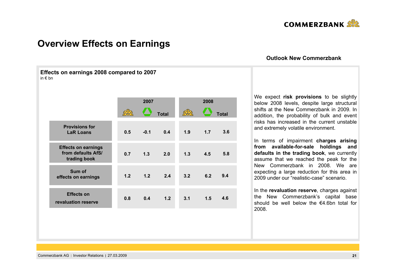

### **Overview Effects on Earnings**

**Effects on earnings 2008 compared to 2007**

in € bn

#### **Outlook New Commerzbank**

|                                                                  |     |        | 2007         |     | 2008 |              |  |
|------------------------------------------------------------------|-----|--------|--------------|-----|------|--------------|--|
|                                                                  |     |        | <b>Total</b> |     |      | <b>Total</b> |  |
| <b>Provisions for</b><br><b>LaR Loans</b>                        | 0.5 | $-0.1$ | 0.4          | 1.9 | 1.7  | 3.6          |  |
| <b>Effects on earnings</b><br>from defaults AfS/<br>trading book | 0.7 | 1.3    | 2.0          | 1.3 | 4.5  | 5.8          |  |
| Sum of<br>effects on earnings                                    | 1.2 | 1.2    | 2.4          | 3.2 | 6.2  | 9.4          |  |
| <b>Effects on</b><br>revaluation reserve                         | 0.8 | 0.4    | 1.2          | 3.1 | 1.5  | 4.6          |  |
|                                                                  |     |        |              |     |      |              |  |

We expect **risk provisions** to be slightly below 2008 levels, despite large structural shifts at the New Commerzbank in 2009. In addition, the probability of bulk and event risks has increased in the current unstable and extremely volatile environment.

In terms of impairment **charges arising from available-for-sale holdings and defaults in the trading book**, we currently assume that we reached the peak for the New Commerzbank in 2008. We are expecting a large reduction for this area in 2009 under our "realistic-case" scenario.

In the **revaluation reserve**, charges against the New Commerzbank's capital base should be well below the €4.6bn total for 2008.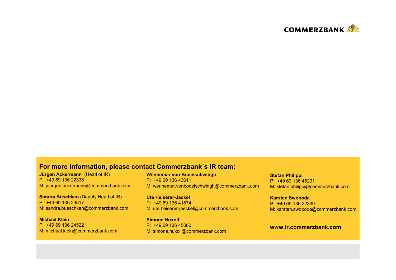

### **For more information, please contact Commerzbank´s IR team:**

**Jürgen Ackermann** (Head of IR) P: +49 69 136 22338M: juergen.ackermann@commerzbank.com

**Sandra Büschken** (Deputy Head of IR) P: +49 69 136 23617M: sandra.bueschken@commerzbank.com

**Michael Klein**P: +49 69 136 24522M: michael.klein@commerzbank.com **Wennemar von Bodelschwingh** P: +49 69 136 43611M: wennemar.vonbodelschwingh@commerzbank.com

**Ute Heiserer-Jäckel**P: +49 69 136 41874M: ute.heiserer-jaeckel@commerzbank.com

**Simone Nuxoll** P: +49 69 136 45660M: simone.nuxoll@commerzbank.com **Stefan Philippi** P: +49 69 136 45231M: stefan.philippi@commerzbank.com

**Karsten Swoboda**P: +49 69 136 22339M: karsten.swoboda@commerzbank.com

#### **www.ir.commerzbank.com**